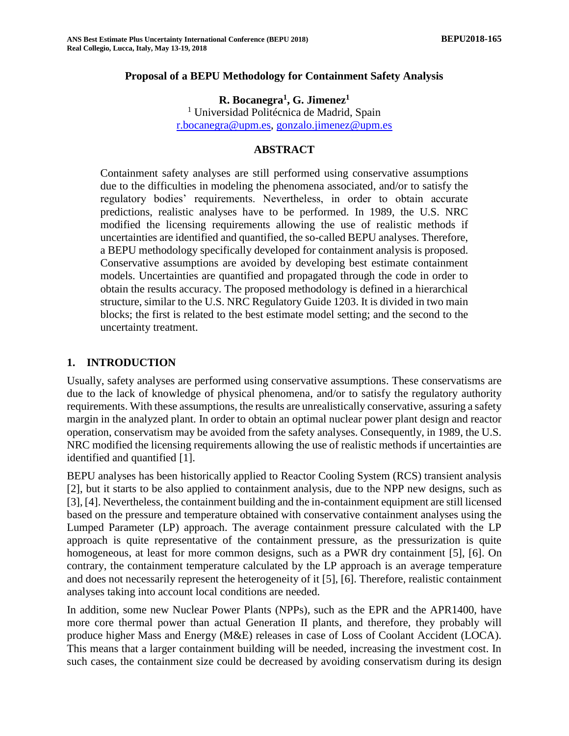#### **Proposal of a BEPU Methodology for Containment Safety Analysis**

**R. Bocanegra<sup>1</sup> , G. Jimenez<sup>1</sup>**

<sup>1</sup> Universidad Politécnica de Madrid, Spain [r.bocanegra@upm.es,](mailto:r.bocanegra@upm.es) [gonzalo.jimenez@upm.es](mailto:gonzalo.jimenez@upm.es)

#### **ABSTRACT**

Containment safety analyses are still performed using conservative assumptions due to the difficulties in modeling the phenomena associated, and/or to satisfy the regulatory bodies' requirements. Nevertheless, in order to obtain accurate predictions, realistic analyses have to be performed. In 1989, the U.S. NRC modified the licensing requirements allowing the use of realistic methods if uncertainties are identified and quantified, the so-called BEPU analyses. Therefore, a BEPU methodology specifically developed for containment analysis is proposed. Conservative assumptions are avoided by developing best estimate containment models. Uncertainties are quantified and propagated through the code in order to obtain the results accuracy. The proposed methodology is defined in a hierarchical structure, similar to the U.S. NRC Regulatory Guide 1203. It is divided in two main blocks; the first is related to the best estimate model setting; and the second to the uncertainty treatment.

#### **1. INTRODUCTION**

Usually, safety analyses are performed using conservative assumptions. These conservatisms are due to the lack of knowledge of physical phenomena, and/or to satisfy the regulatory authority requirements. With these assumptions, the results are unrealistically conservative, assuring a safety margin in the analyzed plant. In order to obtain an optimal nuclear power plant design and reactor operation, conservatism may be avoided from the safety analyses. Consequently, in 1989, the U.S. NRC modified the licensing requirements allowing the use of realistic methods if uncertainties are identified and quantified [1].

BEPU analyses has been historically applied to Reactor Cooling System (RCS) transient analysis [2], but it starts to be also applied to containment analysis, due to the NPP new designs, such as [3], [4]. Nevertheless, the containment building and the in-containment equipment are still licensed based on the pressure and temperature obtained with conservative containment analyses using the Lumped Parameter (LP) approach. The average containment pressure calculated with the LP approach is quite representative of the containment pressure, as the pressurization is quite homogeneous, at least for more common designs, such as a PWR dry containment [5], [6]. On contrary, the containment temperature calculated by the LP approach is an average temperature and does not necessarily represent the heterogeneity of it [5], [6]. Therefore, realistic containment analyses taking into account local conditions are needed.

In addition, some new Nuclear Power Plants (NPPs), such as the EPR and the APR1400, have more core thermal power than actual Generation II plants, and therefore, they probably will produce higher Mass and Energy (M&E) releases in case of Loss of Coolant Accident (LOCA). This means that a larger containment building will be needed, increasing the investment cost. In such cases, the containment size could be decreased by avoiding conservatism during its design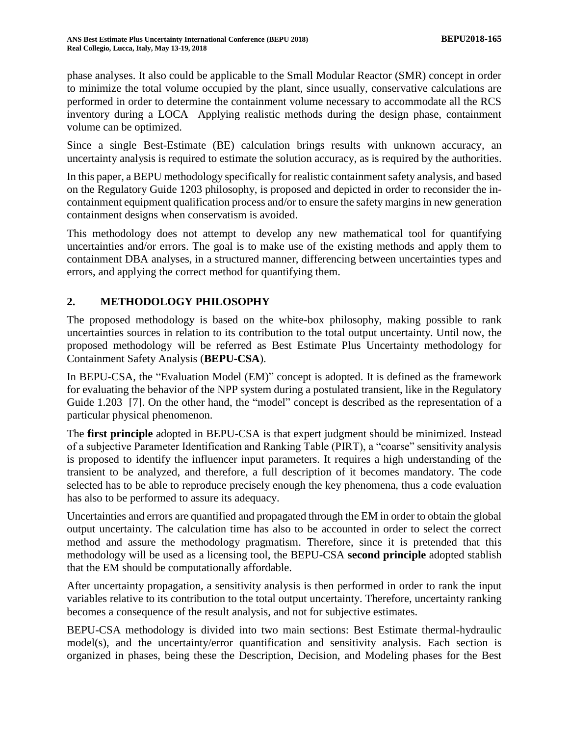phase analyses. It also could be applicable to the Small Modular Reactor (SMR) concept in order to minimize the total volume occupied by the plant, since usually, conservative calculations are performed in order to determine the containment volume necessary to accommodate all the RCS inventory during a LOCA Applying realistic methods during the design phase, containment volume can be optimized.

Since a single Best-Estimate (BE) calculation brings results with unknown accuracy, an uncertainty analysis is required to estimate the solution accuracy, as is required by the authorities.

In this paper, a BEPU methodology specifically for realistic containment safety analysis, and based on the Regulatory Guide 1203 philosophy, is proposed and depicted in order to reconsider the incontainment equipment qualification process and/or to ensure the safety margins in new generation containment designs when conservatism is avoided.

This methodology does not attempt to develop any new mathematical tool for quantifying uncertainties and/or errors. The goal is to make use of the existing methods and apply them to containment DBA analyses, in a structured manner, differencing between uncertainties types and errors, and applying the correct method for quantifying them.

# **2. METHODOLOGY PHILOSOPHY**

The proposed methodology is based on the white-box philosophy, making possible to rank uncertainties sources in relation to its contribution to the total output uncertainty. Until now, the proposed methodology will be referred as Best Estimate Plus Uncertainty methodology for Containment Safety Analysis (**BEPU-CSA**).

In BEPU-CSA, the "Evaluation Model (EM)" concept is adopted. It is defined as the framework for evaluating the behavior of the NPP system during a postulated transient, like in the Regulatory Guide 1.203 [7]. On the other hand, the "model" concept is described as the representation of a particular physical phenomenon.

The **first principle** adopted in BEPU-CSA is that expert judgment should be minimized. Instead of a subjective Parameter Identification and Ranking Table (PIRT), a "coarse" sensitivity analysis is proposed to identify the influencer input parameters. It requires a high understanding of the transient to be analyzed, and therefore, a full description of it becomes mandatory. The code selected has to be able to reproduce precisely enough the key phenomena, thus a code evaluation has also to be performed to assure its adequacy.

Uncertainties and errors are quantified and propagated through the EM in order to obtain the global output uncertainty. The calculation time has also to be accounted in order to select the correct method and assure the methodology pragmatism. Therefore, since it is pretended that this methodology will be used as a licensing tool, the BEPU-CSA **second principle** adopted stablish that the EM should be computationally affordable.

After uncertainty propagation, a sensitivity analysis is then performed in order to rank the input variables relative to its contribution to the total output uncertainty. Therefore, uncertainty ranking becomes a consequence of the result analysis, and not for subjective estimates.

BEPU-CSA methodology is divided into two main sections: Best Estimate thermal-hydraulic model(s), and the uncertainty/error quantification and sensitivity analysis. Each section is organized in phases, being these the Description, Decision, and Modeling phases for the Best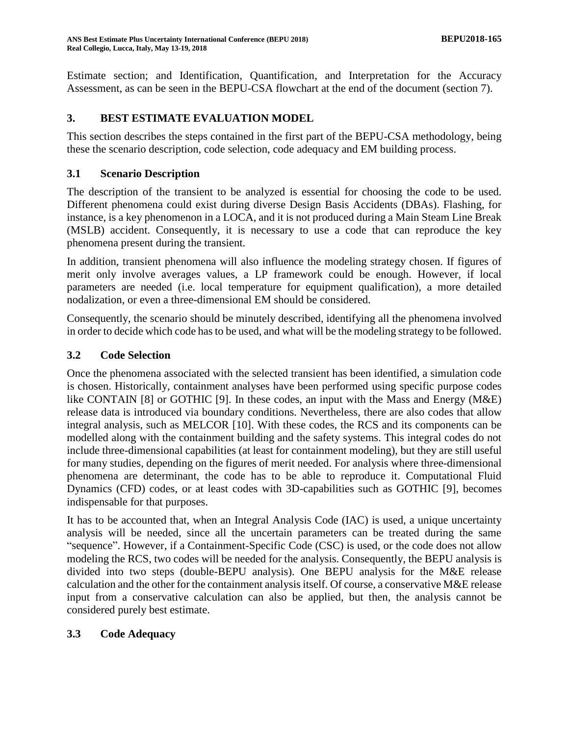Estimate section; and Identification, Quantification, and Interpretation for the Accuracy Assessment, as can be seen in the BEPU-CSA flowchart at the end of the document (section [7\)](#page-14-0).

## **3. BEST ESTIMATE EVALUATION MODEL**

This section describes the steps contained in the first part of the BEPU-CSA methodology, being these the scenario description, code selection, code adequacy and EM building process.

### **3.1 Scenario Description**

The description of the transient to be analyzed is essential for choosing the code to be used. Different phenomena could exist during diverse Design Basis Accidents (DBAs). Flashing, for instance, is a key phenomenon in a LOCA, and it is not produced during a Main Steam Line Break (MSLB) accident. Consequently, it is necessary to use a code that can reproduce the key phenomena present during the transient.

In addition, transient phenomena will also influence the modeling strategy chosen. If figures of merit only involve averages values, a LP framework could be enough. However, if local parameters are needed (i.e. local temperature for equipment qualification), a more detailed nodalization, or even a three-dimensional EM should be considered.

Consequently, the scenario should be minutely described, identifying all the phenomena involved in order to decide which code has to be used, and what will be the modeling strategy to be followed.

### **3.2 Code Selection**

Once the phenomena associated with the selected transient has been identified, a simulation code is chosen. Historically, containment analyses have been performed using specific purpose codes like CONTAIN [8] or GOTHIC [9]. In these codes, an input with the Mass and Energy (M&E) release data is introduced via boundary conditions. Nevertheless, there are also codes that allow integral analysis, such as MELCOR [10]. With these codes, the RCS and its components can be modelled along with the containment building and the safety systems. This integral codes do not include three-dimensional capabilities (at least for containment modeling), but they are still useful for many studies, depending on the figures of merit needed. For analysis where three-dimensional phenomena are determinant, the code has to be able to reproduce it. Computational Fluid Dynamics (CFD) codes, or at least codes with 3D-capabilities such as GOTHIC [9], becomes indispensable for that purposes.

It has to be accounted that, when an Integral Analysis Code (IAC) is used, a unique uncertainty analysis will be needed, since all the uncertain parameters can be treated during the same "sequence". However, if a Containment-Specific Code (CSC) is used, or the code does not allow modeling the RCS, two codes will be needed for the analysis. Consequently, the BEPU analysis is divided into two steps (double-BEPU analysis). One BEPU analysis for the M&E release calculation and the other for the containment analysis itself. Of course, a conservative M&E release input from a conservative calculation can also be applied, but then, the analysis cannot be considered purely best estimate.

# **3.3 Code Adequacy**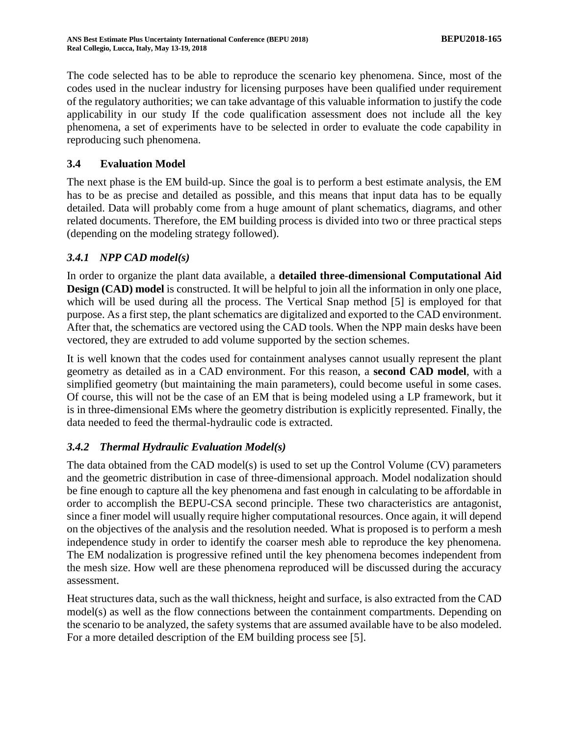The code selected has to be able to reproduce the scenario key phenomena. Since, most of the codes used in the nuclear industry for licensing purposes have been qualified under requirement of the regulatory authorities; we can take advantage of this valuable information to justify the code applicability in our study If the code qualification assessment does not include all the key phenomena, a set of experiments have to be selected in order to evaluate the code capability in reproducing such phenomena.

## **3.4 Evaluation Model**

The next phase is the EM build-up. Since the goal is to perform a best estimate analysis, the EM has to be as precise and detailed as possible, and this means that input data has to be equally detailed. Data will probably come from a huge amount of plant schematics, diagrams, and other related documents. Therefore, the EM building process is divided into two or three practical steps (depending on the modeling strategy followed).

# *3.4.1 NPP CAD model(s)*

In order to organize the plant data available, a **detailed three-dimensional Computational Aid Design (CAD) model** is constructed. It will be helpful to join all the information in only one place, which will be used during all the process. The Vertical Snap method [5] is employed for that purpose. As a first step, the plant schematics are digitalized and exported to the CAD environment. After that, the schematics are vectored using the CAD tools. When the NPP main desks have been vectored, they are extruded to add volume supported by the section schemes.

It is well known that the codes used for containment analyses cannot usually represent the plant geometry as detailed as in a CAD environment. For this reason, a **second CAD model**, with a simplified geometry (but maintaining the main parameters), could become useful in some cases. Of course, this will not be the case of an EM that is being modeled using a LP framework, but it is in three-dimensional EMs where the geometry distribution is explicitly represented. Finally, the data needed to feed the thermal-hydraulic code is extracted.

# *3.4.2 Thermal Hydraulic Evaluation Model(s)*

The data obtained from the CAD model(s) is used to set up the Control Volume (CV) parameters and the geometric distribution in case of three-dimensional approach. Model nodalization should be fine enough to capture all the key phenomena and fast enough in calculating to be affordable in order to accomplish the BEPU-CSA second principle. These two characteristics are antagonist, since a finer model will usually require higher computational resources. Once again, it will depend on the objectives of the analysis and the resolution needed. What is proposed is to perform a mesh independence study in order to identify the coarser mesh able to reproduce the key phenomena. The EM nodalization is progressive refined until the key phenomena becomes independent from the mesh size. How well are these phenomena reproduced will be discussed during the accuracy assessment.

Heat structures data, such as the wall thickness, height and surface, is also extracted from the CAD model(s) as well as the flow connections between the containment compartments. Depending on the scenario to be analyzed, the safety systems that are assumed available have to be also modeled. For a more detailed description of the EM building process see [5].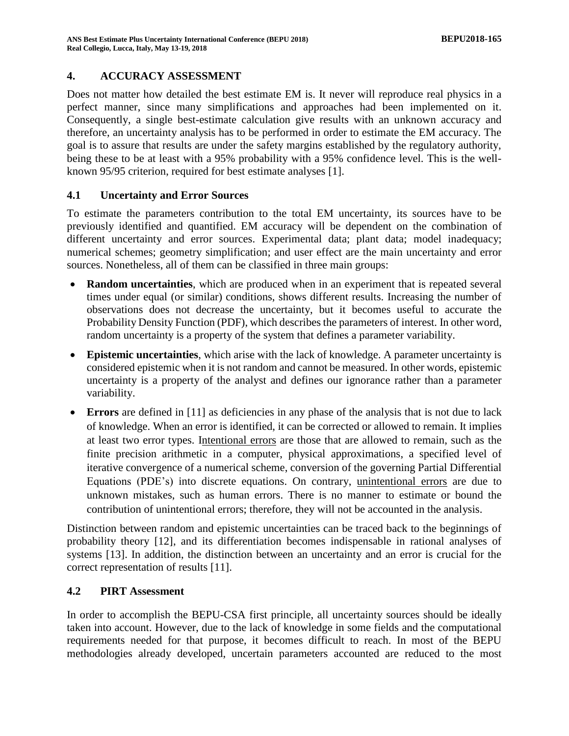#### **4. ACCURACY ASSESSMENT**

Does not matter how detailed the best estimate EM is. It never will reproduce real physics in a perfect manner, since many simplifications and approaches had been implemented on it. Consequently, a single best-estimate calculation give results with an unknown accuracy and therefore, an uncertainty analysis has to be performed in order to estimate the EM accuracy. The goal is to assure that results are under the safety margins established by the regulatory authority, being these to be at least with a 95% probability with a 95% confidence level. This is the wellknown 95/95 criterion, required for best estimate analyses [1].

#### **4.1 Uncertainty and Error Sources**

To estimate the parameters contribution to the total EM uncertainty, its sources have to be previously identified and quantified. EM accuracy will be dependent on the combination of different uncertainty and error sources. Experimental data; plant data; model inadequacy; numerical schemes; geometry simplification; and user effect are the main uncertainty and error sources. Nonetheless, all of them can be classified in three main groups:

- **Random uncertainties**, which are produced when in an experiment that is repeated several times under equal (or similar) conditions, shows different results. Increasing the number of observations does not decrease the uncertainty, but it becomes useful to accurate the Probability Density Function (PDF), which describes the parameters of interest. In other word, random uncertainty is a property of the system that defines a parameter variability.
- **Epistemic uncertainties**, which arise with the lack of knowledge. A parameter uncertainty is considered epistemic when it is not random and cannot be measured. In other words, epistemic uncertainty is a property of the analyst and defines our ignorance rather than a parameter variability.
- **Errors** are defined in [11] as deficiencies in any phase of the analysis that is not due to lack of knowledge. When an error is identified, it can be corrected or allowed to remain. It implies at least two error types. Intentional errors are those that are allowed to remain, such as the finite precision arithmetic in a computer, physical approximations, a specified level of iterative convergence of a numerical scheme, conversion of the governing Partial Differential Equations (PDE's) into discrete equations. On contrary, unintentional errors are due to unknown mistakes, such as human errors. There is no manner to estimate or bound the contribution of unintentional errors; therefore, they will not be accounted in the analysis.

Distinction between random and epistemic uncertainties can be traced back to the beginnings of probability theory [12], and its differentiation becomes indispensable in rational analyses of systems [13]. In addition, the distinction between an uncertainty and an error is crucial for the correct representation of results [11].

#### **4.2 PIRT Assessment**

In order to accomplish the BEPU-CSA first principle, all uncertainty sources should be ideally taken into account. However, due to the lack of knowledge in some fields and the computational requirements needed for that purpose, it becomes difficult to reach. In most of the BEPU methodologies already developed, uncertain parameters accounted are reduced to the most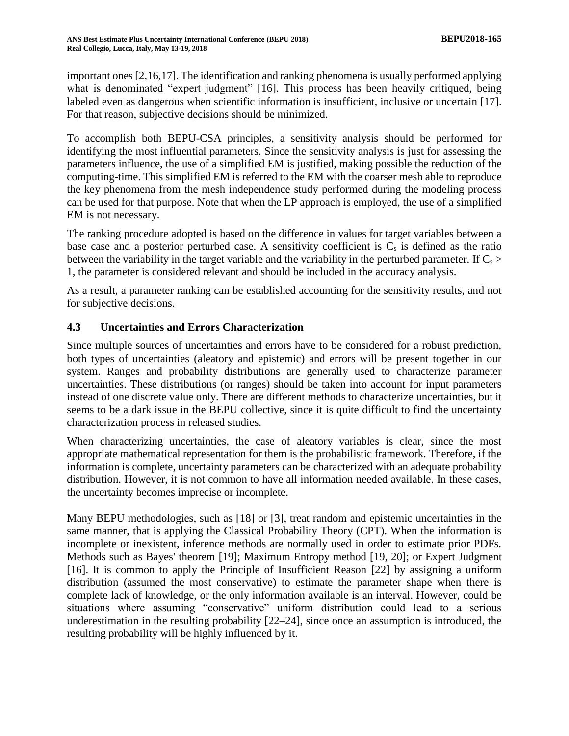important ones [2,16,17]. The identification and ranking phenomena is usually performed applying what is denominated "expert judgment" [16]. This process has been heavily critiqued, being labeled even as dangerous when scientific information is insufficient, inclusive or uncertain [17]. For that reason, subjective decisions should be minimized.

To accomplish both BEPU-CSA principles, a sensitivity analysis should be performed for identifying the most influential parameters. Since the sensitivity analysis is just for assessing the parameters influence, the use of a simplified EM is justified, making possible the reduction of the computing-time. This simplified EM is referred to the EM with the coarser mesh able to reproduce the key phenomena from the mesh independence study performed during the modeling process can be used for that purpose. Note that when the LP approach is employed, the use of a simplified EM is not necessary.

The ranking procedure adopted is based on the difference in values for target variables between a base case and a posterior perturbed case. A sensitivity coefficient is  $C_s$  is defined as the ratio between the variability in the target variable and the variability in the perturbed parameter. If  $C_s$ 1, the parameter is considered relevant and should be included in the accuracy analysis.

As a result, a parameter ranking can be established accounting for the sensitivity results, and not for subjective decisions.

# **4.3 Uncertainties and Errors Characterization**

Since multiple sources of uncertainties and errors have to be considered for a robust prediction, both types of uncertainties (aleatory and epistemic) and errors will be present together in our system. Ranges and probability distributions are generally used to characterize parameter uncertainties. These distributions (or ranges) should be taken into account for input parameters instead of one discrete value only. There are different methods to characterize uncertainties, but it seems to be a dark issue in the BEPU collective, since it is quite difficult to find the uncertainty characterization process in released studies.

When characterizing uncertainties, the case of aleatory variables is clear, since the most appropriate mathematical representation for them is the probabilistic framework. Therefore, if the information is complete, uncertainty parameters can be characterized with an adequate probability distribution. However, it is not common to have all information needed available. In these cases, the uncertainty becomes imprecise or incomplete.

Many BEPU methodologies, such as [18] or [3], treat random and epistemic uncertainties in the same manner, that is applying the Classical Probability Theory (CPT). When the information is incomplete or inexistent, inference methods are normally used in order to estimate prior PDFs. Methods such as Bayes' theorem [19]; Maximum Entropy method [19, 20]; or Expert Judgment [16]. It is common to apply the Principle of Insufficient Reason [22] by assigning a uniform distribution (assumed the most conservative) to estimate the parameter shape when there is complete lack of knowledge, or the only information available is an interval. However, could be situations where assuming "conservative" uniform distribution could lead to a serious underestimation in the resulting probability  $[22-24]$ , since once an assumption is introduced, the resulting probability will be highly influenced by it.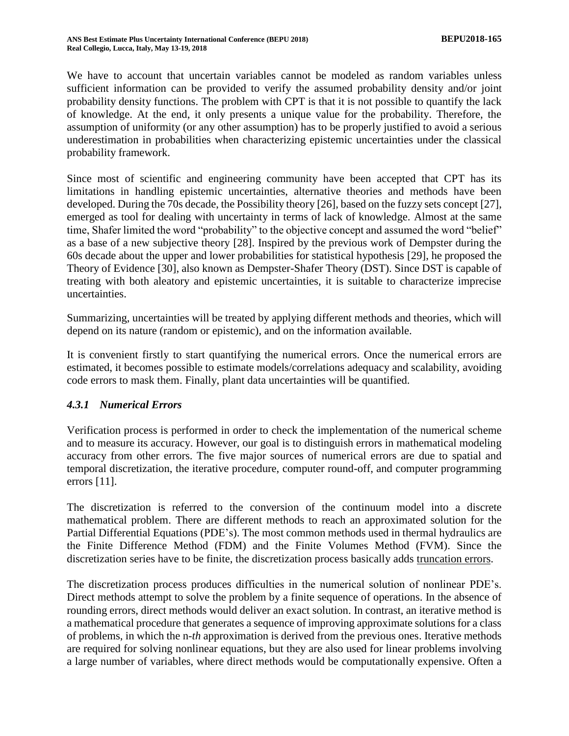We have to account that uncertain variables cannot be modeled as random variables unless sufficient information can be provided to verify the assumed probability density and/or joint probability density functions. The problem with CPT is that it is not possible to quantify the lack of knowledge. At the end, it only presents a unique value for the probability. Therefore, the assumption of uniformity (or any other assumption) has to be properly justified to avoid a serious underestimation in probabilities when characterizing epistemic uncertainties under the classical probability framework.

Since most of scientific and engineering community have been accepted that CPT has its limitations in handling epistemic uncertainties, alternative theories and methods have been developed. During the 70s decade, the Possibility theory [26], based on the fuzzy sets concept [27], emerged as tool for dealing with uncertainty in terms of lack of knowledge. Almost at the same time, Shafer limited the word "probability" to the objective concept and assumed the word "belief" as a base of a new subjective theory [28]. Inspired by the previous work of Dempster during the 60s decade about the upper and lower probabilities for statistical hypothesis [29], he proposed the Theory of Evidence [30], also known as Dempster-Shafer Theory (DST). Since DST is capable of treating with both aleatory and epistemic uncertainties, it is suitable to characterize imprecise uncertainties.

Summarizing, uncertainties will be treated by applying different methods and theories, which will depend on its nature (random or epistemic), and on the information available.

It is convenient firstly to start quantifying the numerical errors. Once the numerical errors are estimated, it becomes possible to estimate models/correlations adequacy and scalability, avoiding code errors to mask them. Finally, plant data uncertainties will be quantified.

#### <span id="page-6-0"></span>*4.3.1 Numerical Errors*

Verification process is performed in order to check the implementation of the numerical scheme and to measure its accuracy. However, our goal is to distinguish errors in mathematical modeling accuracy from other errors. The five major sources of numerical errors are due to spatial and temporal discretization, the iterative procedure, computer round-off, and computer programming errors [11].

The discretization is referred to the conversion of the continuum model into a discrete mathematical problem. There are different methods to reach an approximated solution for the Partial Differential Equations (PDE's). The most common methods used in thermal hydraulics are the Finite Difference Method (FDM) and the Finite Volumes Method (FVM). Since the discretization series have to be finite, the discretization process basically adds truncation errors.

The discretization process produces difficulties in the numerical solution of nonlinear PDE's. Direct methods attempt to solve the problem by a finite sequence of operations. In the absence of rounding errors, direct methods would deliver an exact solution. In contrast, an iterative method is a mathematical procedure that generates a sequence of improving approximate solutions for a class of problems, in which the n*-th* approximation is derived from the previous ones. Iterative methods are required for solving nonlinear equations, but they are also used for linear problems involving a large number of variables, where direct methods would be computationally expensive. Often a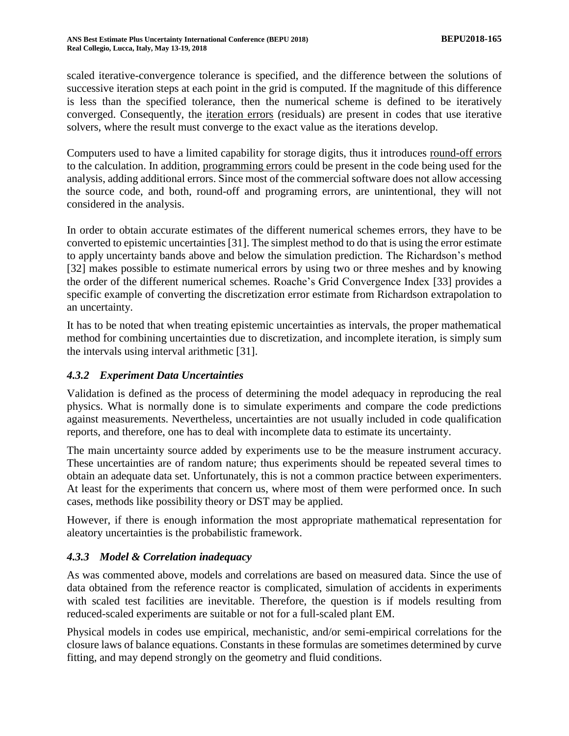scaled iterative-convergence tolerance is specified, and the difference between the solutions of successive iteration steps at each point in the grid is computed. If the magnitude of this difference is less than the specified tolerance, then the numerical scheme is defined to be iteratively converged. Consequently, the iteration errors (residuals) are present in codes that use iterative solvers, where the result must converge to the exact value as the iterations develop.

Computers used to have a limited capability for storage digits, thus it introduces round-off errors to the calculation. In addition, programming errors could be present in the code being used for the analysis, adding additional errors. Since most of the commercial software does not allow accessing the source code, and both, round-off and programing errors, are unintentional, they will not considered in the analysis.

In order to obtain accurate estimates of the different numerical schemes errors, they have to be converted to epistemic uncertainties [31]. The simplest method to do that is using the error estimate to apply uncertainty bands above and below the simulation prediction. The Richardson's method [32] makes possible to estimate numerical errors by using two or three meshes and by knowing the order of the different numerical schemes. Roache's Grid Convergence Index [33] provides a specific example of converting the discretization error estimate from Richardson extrapolation to an uncertainty.

It has to be noted that when treating epistemic uncertainties as intervals, the proper mathematical method for combining uncertainties due to discretization, and incomplete iteration, is simply sum the intervals using interval arithmetic [31].

### *4.3.2 Experiment Data Uncertainties*

Validation is defined as the process of determining the model adequacy in reproducing the real physics. What is normally done is to simulate experiments and compare the code predictions against measurements. Nevertheless, uncertainties are not usually included in code qualification reports, and therefore, one has to deal with incomplete data to estimate its uncertainty.

The main uncertainty source added by experiments use to be the measure instrument accuracy. These uncertainties are of random nature; thus experiments should be repeated several times to obtain an adequate data set. Unfortunately, this is not a common practice between experimenters. At least for the experiments that concern us, where most of them were performed once. In such cases, methods like possibility theory or DST may be applied.

However, if there is enough information the most appropriate mathematical representation for aleatory uncertainties is the probabilistic framework.

### *4.3.3 Model & Correlation inadequacy*

As was commented above, models and correlations are based on measured data. Since the use of data obtained from the reference reactor is complicated, simulation of accidents in experiments with scaled test facilities are inevitable. Therefore, the question is if models resulting from reduced-scaled experiments are suitable or not for a full-scaled plant EM.

Physical models in codes use empirical, mechanistic, and/or semi-empirical correlations for the closure laws of balance equations. Constants in these formulas are sometimes determined by curve fitting, and may depend strongly on the geometry and fluid conditions.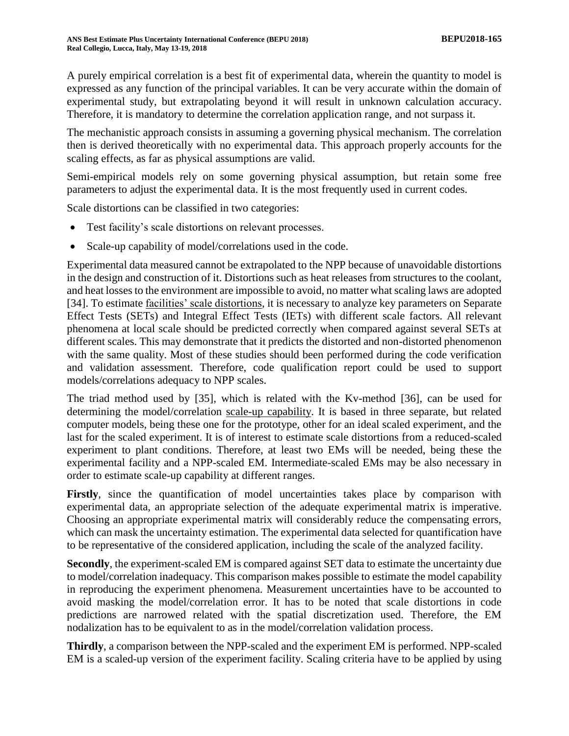A purely empirical correlation is a best fit of experimental data, wherein the quantity to model is expressed as any function of the principal variables. It can be very accurate within the domain of experimental study, but extrapolating beyond it will result in unknown calculation accuracy. Therefore, it is mandatory to determine the correlation application range, and not surpass it.

The mechanistic approach consists in assuming a governing physical mechanism. The correlation then is derived theoretically with no experimental data. This approach properly accounts for the scaling effects, as far as physical assumptions are valid.

Semi-empirical models rely on some governing physical assumption, but retain some free parameters to adjust the experimental data. It is the most frequently used in current codes.

Scale distortions can be classified in two categories:

- Test facility's scale distortions on relevant processes.
- Scale-up capability of model/correlations used in the code.

Experimental data measured cannot be extrapolated to the NPP because of unavoidable distortions in the design and construction of it. Distortions such as heat releases from structures to the coolant, and heat losses to the environment are impossible to avoid, no matter what scaling laws are adopted [34]. To estimate facilities' scale distortions, it is necessary to analyze key parameters on Separate Effect Tests (SETs) and Integral Effect Tests (IETs) with different scale factors. All relevant phenomena at local scale should be predicted correctly when compared against several SETs at different scales. This may demonstrate that it predicts the distorted and non-distorted phenomenon with the same quality. Most of these studies should been performed during the code verification and validation assessment. Therefore, code qualification report could be used to support models/correlations adequacy to NPP scales.

The triad method used by [35], which is related with the Kv-method [36], can be used for determining the model/correlation scale-up capability. It is based in three separate, but related computer models, being these one for the prototype, other for an ideal scaled experiment, and the last for the scaled experiment. It is of interest to estimate scale distortions from a reduced-scaled experiment to plant conditions. Therefore, at least two EMs will be needed, being these the experimental facility and a NPP-scaled EM. Intermediate-scaled EMs may be also necessary in order to estimate scale-up capability at different ranges.

Firstly, since the quantification of model uncertainties takes place by comparison with experimental data, an appropriate selection of the adequate experimental matrix is imperative. Choosing an appropriate experimental matrix will considerably reduce the compensating errors, which can mask the uncertainty estimation. The experimental data selected for quantification have to be representative of the considered application, including the scale of the analyzed facility.

**Secondly**, the experiment-scaled EM is compared against SET data to estimate the uncertainty due to model/correlation inadequacy. This comparison makes possible to estimate the model capability in reproducing the experiment phenomena. Measurement uncertainties have to be accounted to avoid masking the model/correlation error. It has to be noted that scale distortions in code predictions are narrowed related with the spatial discretization used. Therefore, the EM nodalization has to be equivalent to as in the model/correlation validation process.

**Thirdly**, a comparison between the NPP-scaled and the experiment EM is performed. NPP-scaled EM is a scaled-up version of the experiment facility. Scaling criteria have to be applied by using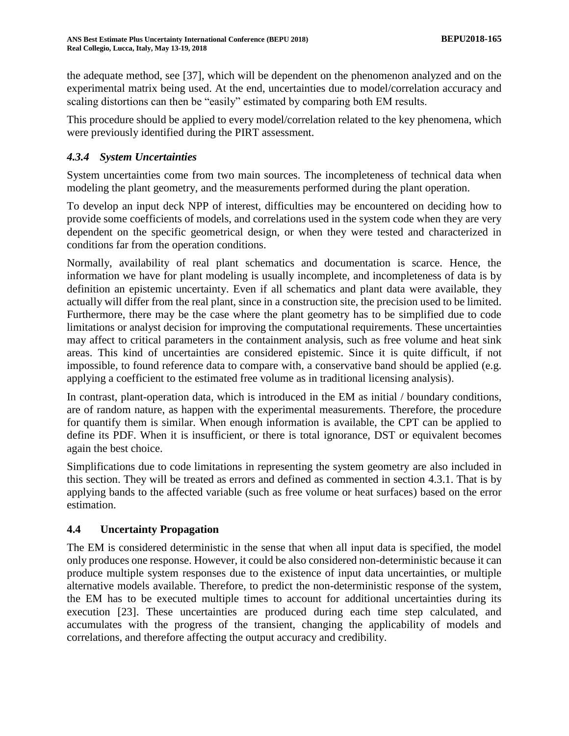the adequate method, see [37], which will be dependent on the phenomenon analyzed and on the experimental matrix being used. At the end, uncertainties due to model/correlation accuracy and scaling distortions can then be "easily" estimated by comparing both EM results.

This procedure should be applied to every model/correlation related to the key phenomena, which were previously identified during the PIRT assessment.

# *4.3.4 System Uncertainties*

System uncertainties come from two main sources. The incompleteness of technical data when modeling the plant geometry, and the measurements performed during the plant operation.

To develop an input deck NPP of interest, difficulties may be encountered on deciding how to provide some coefficients of models, and correlations used in the system code when they are very dependent on the specific geometrical design, or when they were tested and characterized in conditions far from the operation conditions.

Normally, availability of real plant schematics and documentation is scarce. Hence, the information we have for plant modeling is usually incomplete, and incompleteness of data is by definition an epistemic uncertainty. Even if all schematics and plant data were available, they actually will differ from the real plant, since in a construction site, the precision used to be limited. Furthermore, there may be the case where the plant geometry has to be simplified due to code limitations or analyst decision for improving the computational requirements. These uncertainties may affect to critical parameters in the containment analysis, such as free volume and heat sink areas. This kind of uncertainties are considered epistemic. Since it is quite difficult, if not impossible, to found reference data to compare with, a conservative band should be applied (e.g. applying a coefficient to the estimated free volume as in traditional licensing analysis).

In contrast, plant-operation data, which is introduced in the EM as initial / boundary conditions, are of random nature, as happen with the experimental measurements. Therefore, the procedure for quantify them is similar. When enough information is available, the CPT can be applied to define its PDF. When it is insufficient, or there is total ignorance, DST or equivalent becomes again the best choice.

Simplifications due to code limitations in representing the system geometry are also included in this section. They will be treated as errors and defined as commented in section [4.3.1.](#page-6-0) That is by applying bands to the affected variable (such as free volume or heat surfaces) based on the error estimation.

### **4.4 Uncertainty Propagation**

The EM is considered deterministic in the sense that when all input data is specified, the model only produces one response. However, it could be also considered non-deterministic because it can produce multiple system responses due to the existence of input data uncertainties, or multiple alternative models available. Therefore, to predict the non-deterministic response of the system, the EM has to be executed multiple times to account for additional uncertainties during its execution [23]. These uncertainties are produced during each time step calculated, and accumulates with the progress of the transient, changing the applicability of models and correlations, and therefore affecting the output accuracy and credibility.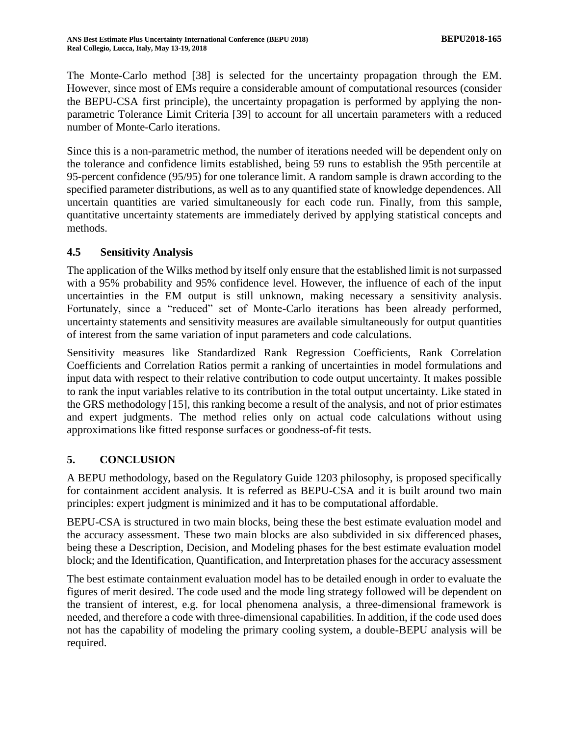The Monte-Carlo method [38] is selected for the uncertainty propagation through the EM. However, since most of EMs require a considerable amount of computational resources (consider the BEPU-CSA first principle), the uncertainty propagation is performed by applying the nonparametric Tolerance Limit Criteria [39] to account for all uncertain parameters with a reduced number of Monte-Carlo iterations.

Since this is a non-parametric method, the number of iterations needed will be dependent only on the tolerance and confidence limits established, being 59 runs to establish the 95th percentile at 95-percent confidence (95/95) for one tolerance limit. A random sample is drawn according to the specified parameter distributions, as well as to any quantified state of knowledge dependences. All uncertain quantities are varied simultaneously for each code run. Finally, from this sample, quantitative uncertainty statements are immediately derived by applying statistical concepts and methods.

#### **4.5 Sensitivity Analysis**

The application of the Wilks method by itself only ensure that the established limit is not surpassed with a 95% probability and 95% confidence level. However, the influence of each of the input uncertainties in the EM output is still unknown, making necessary a sensitivity analysis. Fortunately, since a "reduced" set of Monte-Carlo iterations has been already performed, uncertainty statements and sensitivity measures are available simultaneously for output quantities of interest from the same variation of input parameters and code calculations.

Sensitivity measures like Standardized Rank Regression Coefficients, Rank Correlation Coefficients and Correlation Ratios permit a ranking of uncertainties in model formulations and input data with respect to their relative contribution to code output uncertainty. It makes possible to rank the input variables relative to its contribution in the total output uncertainty. Like stated in the GRS methodology [15], this ranking become a result of the analysis, and not of prior estimates and expert judgments. The method relies only on actual code calculations without using approximations like fitted response surfaces or goodness-of-fit tests.

### **5. CONCLUSION**

A BEPU methodology, based on the Regulatory Guide 1203 philosophy, is proposed specifically for containment accident analysis. It is referred as BEPU-CSA and it is built around two main principles: expert judgment is minimized and it has to be computational affordable.

BEPU-CSA is structured in two main blocks, being these the best estimate evaluation model and the accuracy assessment. These two main blocks are also subdivided in six differenced phases, being these a Description, Decision, and Modeling phases for the best estimate evaluation model block; and the Identification, Quantification, and Interpretation phases for the accuracy assessment

The best estimate containment evaluation model has to be detailed enough in order to evaluate the figures of merit desired. The code used and the mode ling strategy followed will be dependent on the transient of interest, e.g. for local phenomena analysis, a three-dimensional framework is needed, and therefore a code with three-dimensional capabilities. In addition, if the code used does not has the capability of modeling the primary cooling system, a double-BEPU analysis will be required.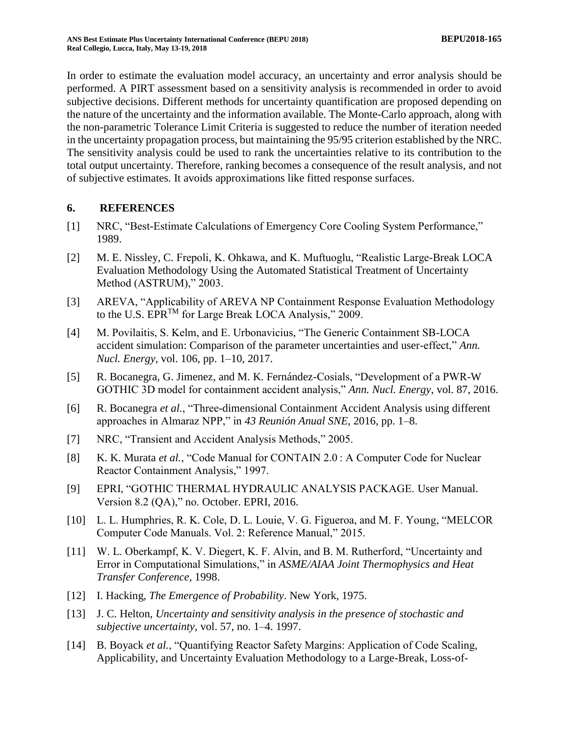In order to estimate the evaluation model accuracy, an uncertainty and error analysis should be performed. A PIRT assessment based on a sensitivity analysis is recommended in order to avoid subjective decisions. Different methods for uncertainty quantification are proposed depending on the nature of the uncertainty and the information available. The Monte-Carlo approach, along with the non-parametric Tolerance Limit Criteria is suggested to reduce the number of iteration needed in the uncertainty propagation process, but maintaining the 95/95 criterion established by the NRC. The sensitivity analysis could be used to rank the uncertainties relative to its contribution to the total output uncertainty. Therefore, ranking becomes a consequence of the result analysis, and not of subjective estimates. It avoids approximations like fitted response surfaces.

#### **6. REFERENCES**

- [1] NRC, "Best-Estimate Calculations of Emergency Core Cooling System Performance," 1989.
- [2] M. E. Nissley, C. Frepoli, K. Ohkawa, and K. Muftuoglu, "Realistic Large-Break LOCA Evaluation Methodology Using the Automated Statistical Treatment of Uncertainty Method (ASTRUM)," 2003.
- [3] AREVA, "Applicability of AREVA NP Containment Response Evaluation Methodology to the U.S. EPRTM for Large Break LOCA Analysis," 2009.
- [4] M. Povilaitis, S. Kelm, and E. Urbonavicius, "The Generic Containment SB-LOCA accident simulation: Comparison of the parameter uncertainties and user-effect," *Ann. Nucl. Energy*, vol. 106, pp. 1–10, 2017.
- [5] R. Bocanegra, G. Jimenez, and M. K. Fernández-Cosials, "Development of a PWR-W GOTHIC 3D model for containment accident analysis," *Ann. Nucl. Energy*, vol. 87, 2016.
- [6] R. Bocanegra *et al.*, "Three-dimensional Containment Accident Analysis using different approaches in Almaraz NPP," in *43 Reunión Anual SNE*, 2016, pp. 1–8.
- [7] NRC, "Transient and Accident Analysis Methods," 2005.
- [8] K. K. Murata *et al.*, "Code Manual for CONTAIN 2.0 : A Computer Code for Nuclear Reactor Containment Analysis," 1997.
- [9] EPRI, "GOTHIC THERMAL HYDRAULIC ANALYSIS PACKAGE. User Manual. Version 8.2 (QA)," no. October. EPRI, 2016.
- [10] L. L. Humphries, R. K. Cole, D. L. Louie, V. G. Figueroa, and M. F. Young, "MELCOR Computer Code Manuals. Vol. 2: Reference Manual," 2015.
- [11] W. L. Oberkampf, K. V. Diegert, K. F. Alvin, and B. M. Rutherford, "Uncertainty and Error in Computational Simulations," in *ASME/AIAA Joint Thermophysics and Heat Transfer Conference*, 1998.
- [12] I. Hacking, *The Emergence of Probability*. New York, 1975.
- [13] J. C. Helton, *Uncertainty and sensitivity analysis in the presence of stochastic and subjective uncertainty*, vol. 57, no. 1–4. 1997.
- [14] B. Boyack *et al.*, "Quantifying Reactor Safety Margins: Application of Code Scaling, Applicability, and Uncertainty Evaluation Methodology to a Large-Break, Loss-of-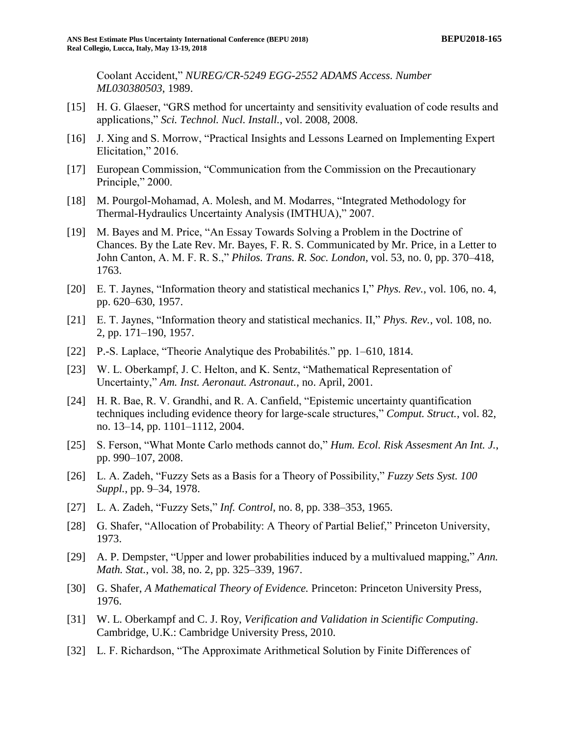Coolant Accident," *NUREG/CR-5249 EGG-2552 ADAMS Access. Number ML030380503*, 1989.

- [15] H. G. Glaeser, "GRS method for uncertainty and sensitivity evaluation of code results and applications," *Sci. Technol. Nucl. Install.*, vol. 2008, 2008.
- [16] J. Xing and S. Morrow, "Practical Insights and Lessons Learned on Implementing Expert Elicitation," 2016.
- [17] European Commission, "Communication from the Commission on the Precautionary Principle," 2000.
- [18] M. Pourgol-Mohamad, A. Molesh, and M. Modarres, "Integrated Methodology for Thermal-Hydraulics Uncertainty Analysis (IMTHUA)," 2007.
- [19] M. Bayes and M. Price, "An Essay Towards Solving a Problem in the Doctrine of Chances. By the Late Rev. Mr. Bayes, F. R. S. Communicated by Mr. Price, in a Letter to John Canton, A. M. F. R. S.," *Philos. Trans. R. Soc. London*, vol. 53, no. 0, pp. 370–418, 1763.
- [20] E. T. Jaynes, "Information theory and statistical mechanics I," *Phys. Rev.*, vol. 106, no. 4, pp. 620–630, 1957.
- [21] E. T. Jaynes, "Information theory and statistical mechanics. II," *Phys. Rev.*, vol. 108, no. 2, pp. 171–190, 1957.
- [22] P.-S. Laplace, "Theorie Analytique des Probabilités." pp. 1–610, 1814.
- [23] W. L. Oberkampf, J. C. Helton, and K. Sentz, "Mathematical Representation of Uncertainty," *Am. Inst. Aeronaut. Astronaut.*, no. April, 2001.
- [24] H. R. Bae, R. V. Grandhi, and R. A. Canfield, "Epistemic uncertainty quantification techniques including evidence theory for large-scale structures," *Comput. Struct.*, vol. 82, no. 13–14, pp. 1101–1112, 2004.
- [25] S. Ferson, "What Monte Carlo methods cannot do," *Hum. Ecol. Risk Assesment An Int. J.*, pp. 990–107, 2008.
- [26] L. A. Zadeh, "Fuzzy Sets as a Basis for a Theory of Possibility," *Fuzzy Sets Syst. 100 Suppl.*, pp. 9–34, 1978.
- [27] L. A. Zadeh, "Fuzzy Sets," *Inf. Control*, no. 8, pp. 338–353, 1965.
- [28] G. Shafer, "Allocation of Probability: A Theory of Partial Belief," Princeton University, 1973.
- [29] A. P. Dempster, "Upper and lower probabilities induced by a multivalued mapping," *Ann. Math. Stat.*, vol. 38, no. 2, pp. 325–339, 1967.
- [30] G. Shafer, *A Mathematical Theory of Evidence.* Princeton: Princeton University Press, 1976.
- [31] W. L. Oberkampf and C. J. Roy, *Verification and Validation in Scientific Computing*. Cambridge, U.K.: Cambridge University Press, 2010.
- [32] L. F. Richardson, "The Approximate Arithmetical Solution by Finite Differences of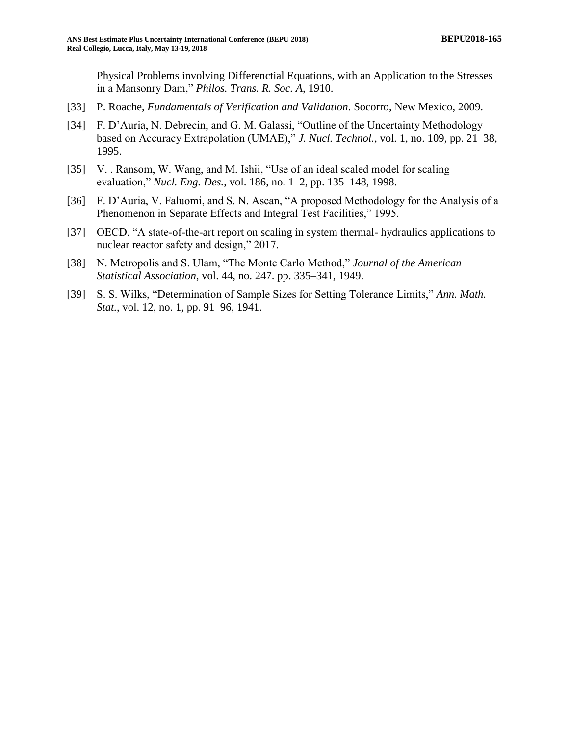Physical Problems involving Differenctial Equations, with an Application to the Stresses in a Mansonry Dam," *Philos. Trans. R. Soc. A*, 1910.

- [33] P. Roache, *Fundamentals of Verification and Validation*. Socorro, New Mexico, 2009.
- [34] F. D'Auria, N. Debrecin, and G. M. Galassi, "Outline of the Uncertainty Methodology based on Accuracy Extrapolation (UMAE)," *J. Nucl. Technol.*, vol. 1, no. 109, pp. 21–38, 1995.
- [35] V. . Ransom, W. Wang, and M. Ishii, "Use of an ideal scaled model for scaling evaluation," *Nucl. Eng. Des.*, vol. 186, no. 1–2, pp. 135–148, 1998.
- [36] F. D'Auria, V. Faluomi, and S. N. Ascan, "A proposed Methodology for the Analysis of a Phenomenon in Separate Effects and Integral Test Facilities," 1995.
- [37] OECD, "A state-of-the-art report on scaling in system thermal- hydraulics applications to nuclear reactor safety and design," 2017.
- [38] N. Metropolis and S. Ulam, "The Monte Carlo Method," *Journal of the American Statistical Association*, vol. 44, no. 247. pp. 335–341, 1949.
- [39] S. S. Wilks, "Determination of Sample Sizes for Setting Tolerance Limits," *Ann. Math. Stat.*, vol. 12, no. 1, pp. 91–96, 1941.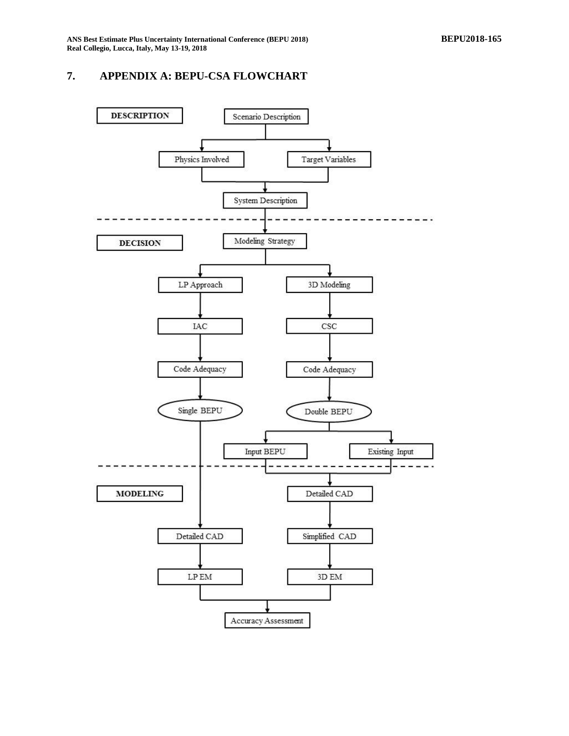## <span id="page-14-0"></span>**7. APPENDIX A: BEPU-CSA FLOWCHART**